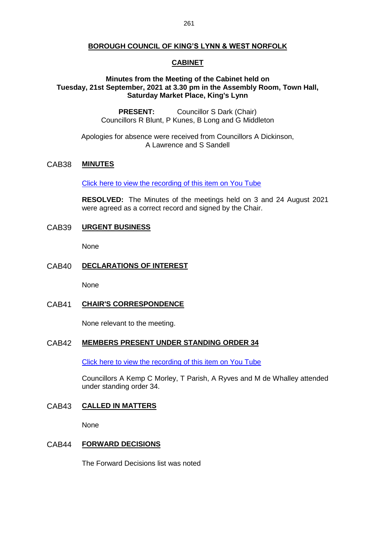### **BOROUGH COUNCIL OF KING'S LYNN & WEST NORFOLK**

# **CABINET**

# **Minutes from the Meeting of the Cabinet held on Tuesday, 21st September, 2021 at 3.30 pm in the Assembly Room, Town Hall, Saturday Market Place, King's Lynn**

**PRESENT:** Councillor S Dark (Chair) Councillors R Blunt, P Kunes, B Long and G Middleton

Apologies for absence were received from Councillors A Dickinson, A Lawrence and S Sandell

# CAB38 **MINUTES**

[Click here to view the recording of this item on You Tube](https://youtu.be/qxpRmbZN2YY?t=49)

**RESOLVED:** The Minutes of the meetings held on 3 and 24 August 2021 were agreed as a correct record and signed by the Chair.

### CAB39 **URGENT BUSINESS**

None

### CAB40 **DECLARATIONS OF INTEREST**

None

# CAB41 **CHAIR'S CORRESPONDENCE**

None relevant to the meeting.

### CAB42 **MEMBERS PRESENT UNDER STANDING ORDER 34**

[Click here to view the recording of this item on You Tube](https://youtu.be/qxpRmbZN2YY?t=144)

Councillors A Kemp C Morley, T Parish, A Ryves and M de Whalley attended under standing order 34.

### CAB43 **CALLED IN MATTERS**

None

### CAB44 **FORWARD DECISIONS**

The Forward Decisions list was noted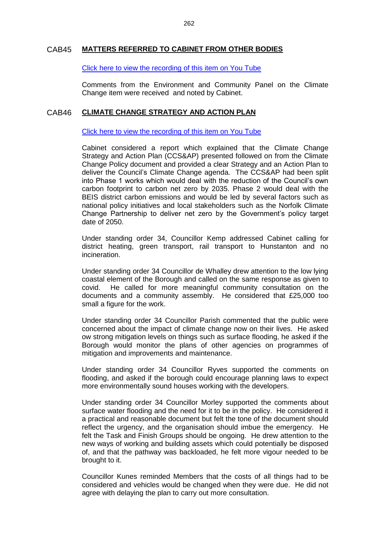# CAB45 **MATTERS REFERRED TO CABINET FROM OTHER BODIES**

[Click here to view the recording of this item on You Tube](https://youtu.be/qxpRmbZN2YY?t=226)

Comments from the Environment and Community Panel on the Climate Change item were received and noted by Cabinet.

## CAB46 **CLIMATE CHANGE STRATEGY AND ACTION PLAN**

[Click here to view the recording of this item on You Tube](https://youtu.be/qxpRmbZN2YY?t=262)

Cabinet considered a report which explained that the Climate Change Strategy and Action Plan (CCS&AP) presented followed on from the Climate Change Policy document and provided a clear Strategy and an Action Plan to deliver the Council's Climate Change agenda. The CCS&AP had been split into Phase 1 works which would deal with the reduction of the Council's own carbon footprint to carbon net zero by 2035. Phase 2 would deal with the BEIS district carbon emissions and would be led by several factors such as national policy initiatives and local stakeholders such as the Norfolk Climate Change Partnership to deliver net zero by the Government's policy target date of 2050.

Under standing order 34, Councillor Kemp addressed Cabinet calling for district heating, green transport, rail transport to Hunstanton and no incineration.

Under standing order 34 Councillor de Whalley drew attention to the low lying coastal element of the Borough and called on the same response as given to covid. He called for more meaningful community consultation on the documents and a community assembly. He considered that £25,000 too small a figure for the work.

Under standing order 34 Councillor Parish commented that the public were concerned about the impact of climate change now on their lives. He asked ow strong mitigation levels on things such as surface flooding, he asked if the Borough would monitor the plans of other agencies on programmes of mitigation and improvements and maintenance.

Under standing order 34 Councillor Ryves supported the comments on flooding, and asked if the borough could encourage planning laws to expect more environmentally sound houses working with the developers.

Under standing order 34 Councillor Morley supported the comments about surface water flooding and the need for it to be in the policy. He considered it a practical and reasonable document but felt the tone of the document should reflect the urgency, and the organisation should imbue the emergency. He felt the Task and Finish Groups should be ongoing. He drew attention to the new ways of working and building assets which could potentially be disposed of, and that the pathway was backloaded, he felt more vigour needed to be brought to it.

Councillor Kunes reminded Members that the costs of all things had to be considered and vehicles would be changed when they were due. He did not agree with delaying the plan to carry out more consultation.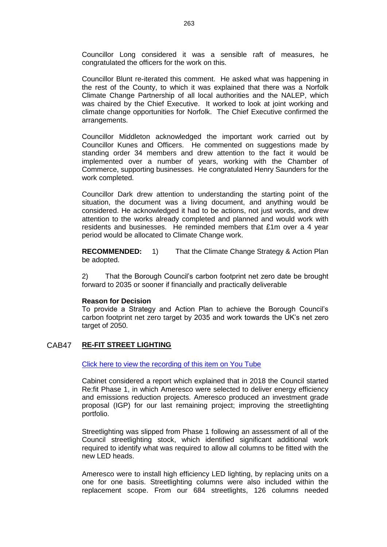Councillor Long considered it was a sensible raft of measures, he congratulated the officers for the work on this.

Councillor Blunt re-iterated this comment. He asked what was happening in the rest of the County, to which it was explained that there was a Norfolk Climate Change Partnership of all local authorities and the NALEP, which was chaired by the Chief Executive. It worked to look at joint working and climate change opportunities for Norfolk. The Chief Executive confirmed the arrangements.

Councillor Middleton acknowledged the important work carried out by Councillor Kunes and Officers. He commented on suggestions made by standing order 34 members and drew attention to the fact it would be implemented over a number of years, working with the Chamber of Commerce, supporting businesses. He congratulated Henry Saunders for the work completed.

Councillor Dark drew attention to understanding the starting point of the situation, the document was a living document, and anything would be considered. He acknowledged it had to be actions, not just words, and drew attention to the works already completed and planned and would work with residents and businesses. He reminded members that £1m over a 4 year period would be allocated to Climate Change work.

**RECOMMENDED:** 1) That the Climate Change Strategy & Action Plan be adopted.

2) That the Borough Council's carbon footprint net zero date be brought forward to 2035 or sooner if financially and practically deliverable

## **Reason for Decision**

To provide a Strategy and Action Plan to achieve the Borough Council's carbon footprint net zero target by 2035 and work towards the UK's net zero target of 2050.

# CAB47 **RE-FIT STREET LIGHTING**

[Click here to view the recording of this item on You Tube](https://youtu.be/qxpRmbZN2YY?t=2240)

Cabinet considered a report which explained that in 2018 the Council started Re:fit Phase 1, in which Ameresco were selected to deliver energy efficiency and emissions reduction projects. Ameresco produced an investment grade proposal (IGP) for our last remaining project; improving the streetlighting portfolio.

Streetlighting was slipped from Phase 1 following an assessment of all of the Council streetlighting stock, which identified significant additional work required to identify what was required to allow all columns to be fitted with the new LED heads.

Ameresco were to install high efficiency LED lighting, by replacing units on a one for one basis. Streetlighting columns were also included within the replacement scope. From our 684 streetlights, 126 columns needed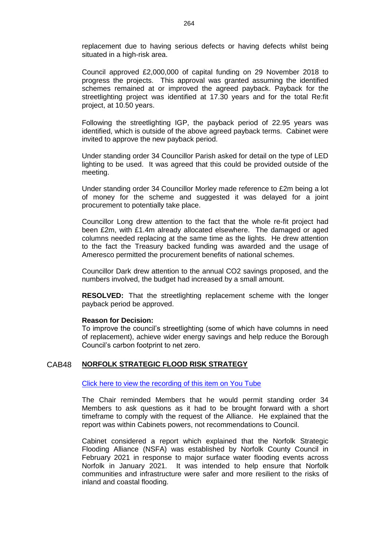replacement due to having serious defects or having defects whilst being situated in a high-risk area.

Council approved £2,000,000 of capital funding on 29 November 2018 to progress the projects. This approval was granted assuming the identified schemes remained at or improved the agreed payback. Payback for the streetlighting project was identified at 17.30 years and for the total Re:fit project, at 10.50 years.

Following the streetlighting IGP, the payback period of 22.95 years was identified, which is outside of the above agreed payback terms. Cabinet were invited to approve the new payback period.

Under standing order 34 Councillor Parish asked for detail on the type of LED lighting to be used. It was agreed that this could be provided outside of the meeting.

Under standing order 34 Councillor Morley made reference to £2m being a lot of money for the scheme and suggested it was delayed for a joint procurement to potentially take place.

Councillor Long drew attention to the fact that the whole re-fit project had been £2m, with £1.4m already allocated elsewhere. The damaged or aged columns needed replacing at the same time as the lights. He drew attention to the fact the Treasury backed funding was awarded and the usage of Ameresco permitted the procurement benefits of national schemes.

Councillor Dark drew attention to the annual CO2 savings proposed, and the numbers involved, the budget had increased by a small amount.

**RESOLVED:** That the streetlighting replacement scheme with the longer payback period be approved.

### **Reason for Decision:**

To improve the council's streetlighting (some of which have columns in need of replacement), achieve wider energy savings and help reduce the Borough Council's carbon footprint to net zero.

## CAB48 **NORFOLK STRATEGIC FLOOD RISK STRATEGY**

[Click here to view the recording of this item on You Tube](https://youtu.be/qxpRmbZN2YY?t=2934)

The Chair reminded Members that he would permit standing order 34 Members to ask questions as it had to be brought forward with a short timeframe to comply with the request of the Alliance. He explained that the report was within Cabinets powers, not recommendations to Council.

Cabinet considered a report which explained that the Norfolk Strategic Flooding Alliance (NSFA) was established by Norfolk County Council in February 2021 in response to major surface water flooding events across Norfolk in January 2021. It was intended to help ensure that Norfolk communities and infrastructure were safer and more resilient to the risks of inland and coastal flooding.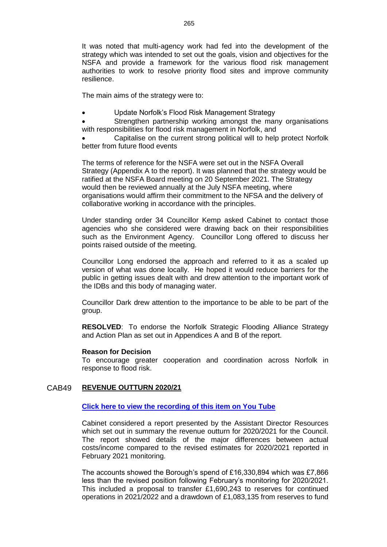It was noted that multi-agency work had fed into the development of the strategy which was intended to set out the goals, vision and objectives for the NSFA and provide a framework for the various flood risk management authorities to work to resolve priority flood sites and improve community resilience.

The main aims of the strategy were to:

- Update Norfolk's Flood Risk Management Strategy
- Strengthen partnership working amongst the many organisations with responsibilities for flood risk management in Norfolk, and

 Capitalise on the current strong political will to help protect Norfolk better from future flood events

The terms of reference for the NSFA were set out in the NSFA Overall Strategy (Appendix A to the report). It was planned that the strategy would be ratified at the NSFA Board meeting on 20 September 2021. The Strategy would then be reviewed annually at the July NSFA meeting, where organisations would affirm their commitment to the NFSA and the delivery of collaborative working in accordance with the principles.

Under standing order 34 Councillor Kemp asked Cabinet to contact those agencies who she considered were drawing back on their responsibilities such as the Environment Agency. Councillor Long offered to discuss her points raised outside of the meeting.

Councillor Long endorsed the approach and referred to it as a scaled up version of what was done locally. He hoped it would reduce barriers for the public in getting issues dealt with and drew attention to the important work of the IDBs and this body of managing water.

Councillor Dark drew attention to the importance to be able to be part of the group.

**RESOLVED**: To endorse the Norfolk Strategic Flooding Alliance Strategy and Action Plan as set out in Appendices A and B of the report.

## **Reason for Decision**

To encourage greater cooperation and coordination across Norfolk in response to flood risk.

# CAB49 **REVENUE OUTTURN 2020/21**

## **Click here to view the [recording of this item on You Tube](https://youtu.be/qxpRmbZN2YY?t=3469)**

Cabinet considered a report presented by the Assistant Director Resources which set out in summary the revenue outturn for 2020/2021 for the Council. The report showed details of the major differences between actual costs/income compared to the revised estimates for 2020/2021 reported in February 2021 monitoring.

The accounts showed the Borough's spend of £16,330,894 which was £7,866 less than the revised position following February's monitoring for 2020/2021. This included a proposal to transfer £1,690,243 to reserves for continued operations in 2021/2022 and a drawdown of £1,083,135 from reserves to fund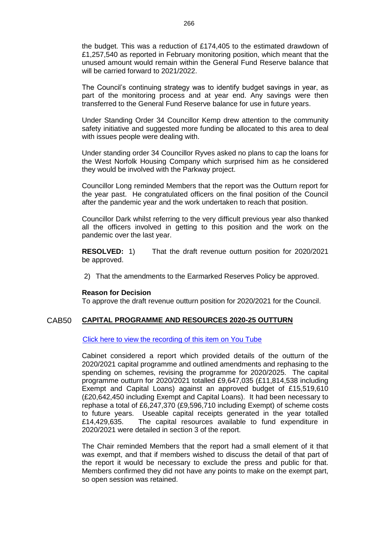the budget. This was a reduction of £174,405 to the estimated drawdown of £1,257,540 as reported in February monitoring position, which meant that the unused amount would remain within the General Fund Reserve balance that will be carried forward to 2021/2022.

The Council's continuing strategy was to identify budget savings in year, as part of the monitoring process and at year end. Any savings were then transferred to the General Fund Reserve balance for use in future years.

Under Standing Order 34 Councillor Kemp drew attention to the community safety initiative and suggested more funding be allocated to this area to deal with issues people were dealing with.

Under standing order 34 Councillor Ryves asked no plans to cap the loans for the West Norfolk Housing Company which surprised him as he considered they would be involved with the Parkway project.

Councillor Long reminded Members that the report was the Outturn report for the year past. He congratulated officers on the final position of the Council after the pandemic year and the work undertaken to reach that position.

Councillor Dark whilst referring to the very difficult previous year also thanked all the officers involved in getting to this position and the work on the pandemic over the last year.

**RESOLVED:** 1) That the draft revenue outturn position for 2020/2021 be approved.

2) That the amendments to the Earmarked Reserves Policy be approved.

### **Reason for Decision**

To approve the draft revenue outturn position for 2020/2021 for the Council.

## CAB50 **CAPITAL PROGRAMME AND RESOURCES 2020-25 OUTTURN**

[Click here to view the recording of this item on You Tube](https://youtu.be/qxpRmbZN2YY?t=4569)

Cabinet considered a report which provided details of the outturn of the 2020/2021 capital programme and outlined amendments and rephasing to the spending on schemes, revising the programme for 2020/2025. The capital programme outturn for 2020/2021 totalled £9,647,035 (£11,814,538 including Exempt and Capital Loans) against an approved budget of £15,519,610 (£20,642,450 including Exempt and Capital Loans). It had been necessary to rephase a total of £6,247,370 (£9,596,710 including Exempt) of scheme costs to future years. Useable capital receipts generated in the year totalled £14,429,635. The capital resources available to fund expenditure in 2020/2021 were detailed in section 3 of the report.

The Chair reminded Members that the report had a small element of it that was exempt, and that if members wished to discuss the detail of that part of the report it would be necessary to exclude the press and public for that. Members confirmed they did not have any points to make on the exempt part, so open session was retained.